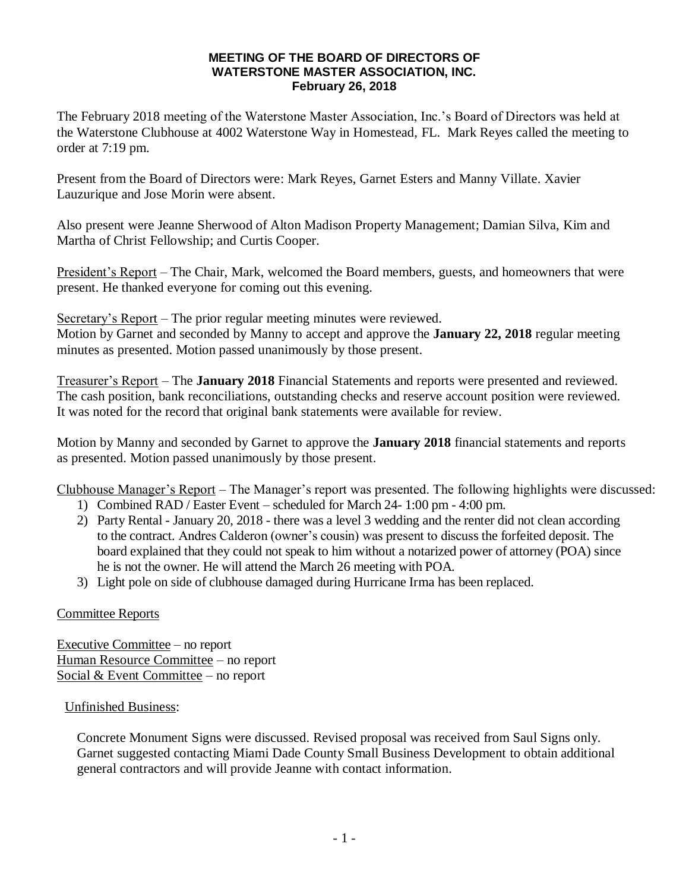### **MEETING OF THE BOARD OF DIRECTORS OF WATERSTONE MASTER ASSOCIATION, INC. February 26, 2018**

The February 2018 meeting of the Waterstone Master Association, Inc.'s Board of Directors was held at the Waterstone Clubhouse at 4002 Waterstone Way in Homestead, FL. Mark Reyes called the meeting to order at 7:19 pm.

Present from the Board of Directors were: Mark Reyes, Garnet Esters and Manny Villate. Xavier Lauzurique and Jose Morin were absent.

Also present were Jeanne Sherwood of Alton Madison Property Management; Damian Silva, Kim and Martha of Christ Fellowship; and Curtis Cooper.

President's Report – The Chair, Mark, welcomed the Board members, guests, and homeowners that were present. He thanked everyone for coming out this evening.

Secretary's Report – The prior regular meeting minutes were reviewed. Motion by Garnet and seconded by Manny to accept and approve the **January 22, 2018** regular meeting minutes as presented. Motion passed unanimously by those present.

Treasurer's Report – The **January 2018** Financial Statements and reports were presented and reviewed. The cash position, bank reconciliations, outstanding checks and reserve account position were reviewed. It was noted for the record that original bank statements were available for review.

Motion by Manny and seconded by Garnet to approve the **January 2018** financial statements and reports as presented. Motion passed unanimously by those present.

Clubhouse Manager's Report – The Manager's report was presented. The following highlights were discussed:

- 1) Combined RAD / Easter Event scheduled for March 24- 1:00 pm 4:00 pm.
- 2) Party Rental January 20, 2018 there was a level 3 wedding and the renter did not clean according to the contract. Andres Calderon (owner's cousin) was present to discuss the forfeited deposit. The board explained that they could not speak to him without a notarized power of attorney (POA) since he is not the owner. He will attend the March 26 meeting with POA.
- 3) Light pole on side of clubhouse damaged during Hurricane Irma has been replaced.

## Committee Reports

Executive Committee – no report Human Resource Committee – no report Social & Event Committee – no report

## Unfinished Business:

Concrete Monument Signs were discussed. Revised proposal was received from Saul Signs only. Garnet suggested contacting Miami Dade County Small Business Development to obtain additional general contractors and will provide Jeanne with contact information.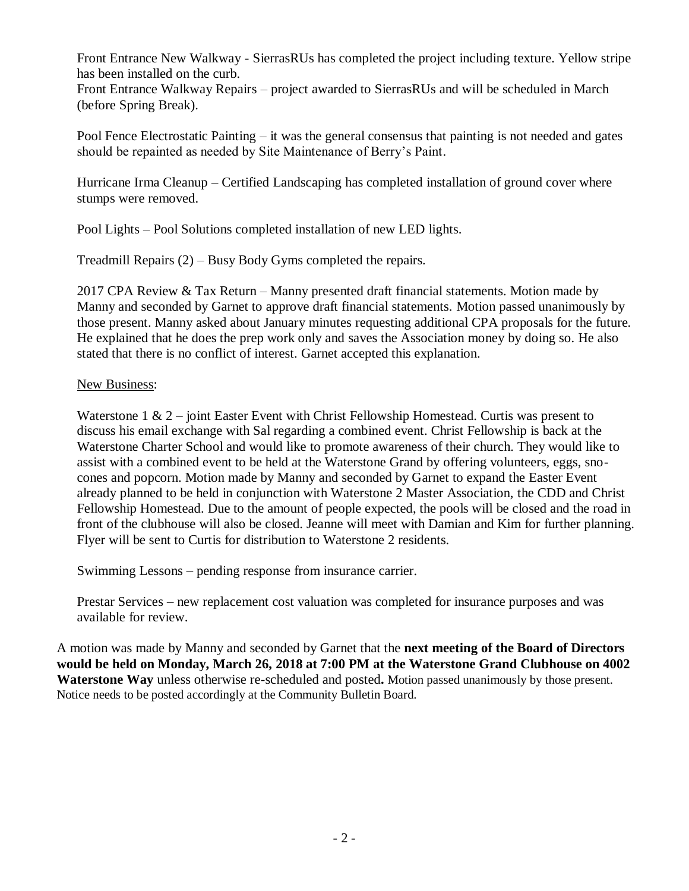Front Entrance New Walkway - SierrasRUs has completed the project including texture. Yellow stripe has been installed on the curb.

Front Entrance Walkway Repairs – project awarded to SierrasRUs and will be scheduled in March (before Spring Break).

Pool Fence Electrostatic Painting – it was the general consensus that painting is not needed and gates should be repainted as needed by Site Maintenance of Berry's Paint.

Hurricane Irma Cleanup – Certified Landscaping has completed installation of ground cover where stumps were removed.

Pool Lights – Pool Solutions completed installation of new LED lights.

Treadmill Repairs (2) – Busy Body Gyms completed the repairs.

2017 CPA Review & Tax Return – Manny presented draft financial statements. Motion made by Manny and seconded by Garnet to approve draft financial statements. Motion passed unanimously by those present. Manny asked about January minutes requesting additional CPA proposals for the future. He explained that he does the prep work only and saves the Association money by doing so. He also stated that there is no conflict of interest. Garnet accepted this explanation.

## New Business:

Waterstone 1 & 2 – joint Easter Event with Christ Fellowship Homestead. Curtis was present to discuss his email exchange with Sal regarding a combined event. Christ Fellowship is back at the Waterstone Charter School and would like to promote awareness of their church. They would like to assist with a combined event to be held at the Waterstone Grand by offering volunteers, eggs, snocones and popcorn. Motion made by Manny and seconded by Garnet to expand the Easter Event already planned to be held in conjunction with Waterstone 2 Master Association, the CDD and Christ Fellowship Homestead. Due to the amount of people expected, the pools will be closed and the road in front of the clubhouse will also be closed. Jeanne will meet with Damian and Kim for further planning. Flyer will be sent to Curtis for distribution to Waterstone 2 residents.

Swimming Lessons – pending response from insurance carrier.

Prestar Services – new replacement cost valuation was completed for insurance purposes and was available for review.

A motion was made by Manny and seconded by Garnet that the **next meeting of the Board of Directors would be held on Monday, March 26, 2018 at 7:00 PM at the Waterstone Grand Clubhouse on 4002 Waterstone Way** unless otherwise re-scheduled and posted**.** Motion passed unanimously by those present. Notice needs to be posted accordingly at the Community Bulletin Board.